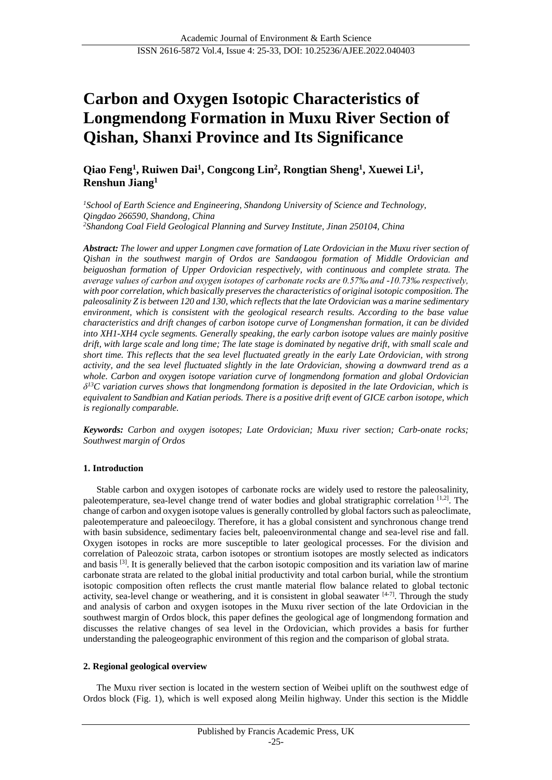# **Carbon and Oxygen Isotopic Characteristics of Longmendong Formation in Muxu River Section of Qishan, Shanxi Province and Its Significance**

**Qiao Feng<sup>1</sup> , Ruiwen Dai<sup>1</sup> , Congcong Lin<sup>2</sup> , Rongtian Sheng<sup>1</sup> , Xuewei Li<sup>1</sup> , Renshun Jiang<sup>1</sup>**

*<sup>1</sup>School of Earth Science and Engineering, Shandong University of Science and Technology, Qingdao 266590, Shandong, China <sup>2</sup>Shandong Coal Field Geological Planning and Survey Institute, Jinan 250104, China*

*Abstract: The lower and upper Longmen cave formation of Late Ordovician in the Muxu river section of Qishan in the southwest margin of Ordos are Sandaogou formation of Middle Ordovician and beiguoshan formation of Upper Ordovician respectively, with continuous and complete strata. The average values of carbon and oxygen isotopes of carbonate rocks are 0.57‰ and -10.73‰ respectively, with poor correlation, which basically preserves the characteristics of original isotopic composition. The paleosalinity Z is between 120 and 130, which reflects that the late Ordovician was a marine sedimentary environment, which is consistent with the geological research results. According to the base value characteristics and drift changes of carbon isotope curve of Longmenshan formation, it can be divided into XH1-XH4 cycle segments. Generally speaking, the early carbon isotope values are mainly positive drift, with large scale and long time; The late stage is dominated by negative drift, with small scale and short time. This reflects that the sea level fluctuated greatly in the early Late Ordovician, with strong activity, and the sea level fluctuated slightly in the late Ordovician, showing a downward trend as a whole. Carbon and oxygen isotope variation curve of longmendong formation and global Ordovician δ <sup>13</sup>C variation curves shows that longmendong formation is deposited in the late Ordovician, which is equivalent to Sandbian and Katian periods. There is a positive drift event of GICE carbon isotope, which is regionally comparable.*

*Keywords: Carbon and oxygen isotopes; Late Ordovician; Muxu river section; Carb-onate rocks; Southwest margin of Ordos*

#### **1. Introduction**

Stable carbon and oxygen isotopes of carbonate rocks are widely used to restore the paleosalinity, paleotemperature, sea-level change trend of water bodies and global stratigraphic correlation [1,2]. The change of carbon and oxygen isotope values is generally controlled by global factors such as paleoclimate, paleotemperature and paleoecilogy. Therefore, it has a global consistent and synchronous change trend with basin subsidence, sedimentary facies belt, paleoenvironmental change and sea-level rise and fall. Oxygen isotopes in rocks are more susceptible to later geological processes. For the division and correlation of Paleozoic strata, carbon isotopes or strontium isotopes are mostly selected as indicators and basis [3]. It is generally believed that the carbon isotopic composition and its variation law of marine carbonate strata are related to the global initial productivity and total carbon burial, while the strontium isotopic composition often reflects the crust mantle material flow balance related to global tectonic activity, sea-level change or weathering, and it is consistent in global seawater [4-7]. Through the study and analysis of carbon and oxygen isotopes in the Muxu river section of the late Ordovician in the southwest margin of Ordos block, this paper defines the geological age of longmendong formation and discusses the relative changes of sea level in the Ordovician, which provides a basis for further understanding the paleogeographic environment of this region and the comparison of global strata.

# **2. Regional geological overview**

The Muxu river section is located in the western section of Weibei uplift on the southwest edge of Ordos block (Fig. 1), which is well exposed along Meilin highway. Under this section is the Middle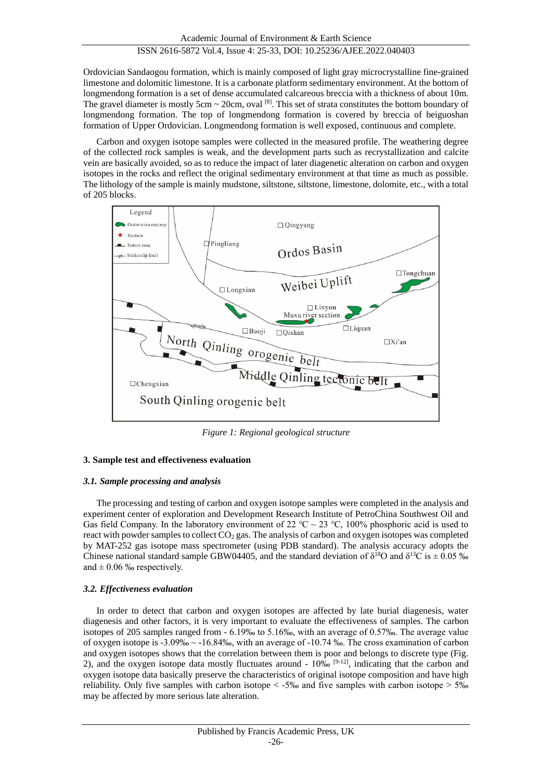Ordovician Sandaogou formation, which is mainly composed of light gray microcrystalline fine-grained limestone and dolomitic limestone. It is a carbonate platform sedimentary environment. At the bottom of longmendong formation is a set of dense accumulated calcareous breccia with a thickness of about 10m. The gravel diameter is mostly 5cm  $\sim$  20cm, oval  $^{[8]}$ . This set of strata constitutes the bottom boundary of longmendong formation. The top of longmendong formation is covered by breccia of beiguoshan formation of Upper Ordovician. Longmendong formation is well exposed, continuous and complete.

Carbon and oxygen isotope samples were collected in the measured profile. The weathering degree of the collected rock samples is weak, and the development parts such as recrystallization and calcite vein are basically avoided, so as to reduce the impact of later diagenetic alteration on carbon and oxygen isotopes in the rocks and reflect the original sedimentary environment at that time as much as possible. The lithology of the sample is mainly mudstone, siltstone, siltstone, limestone, dolomite, etc., with a total of 205 blocks.



*Figure 1: Regional geological structure*

# **3. Sample test and effectiveness evaluation**

# *3.1. Sample processing and analysis*

The processing and testing of carbon and oxygen isotope samples were completed in the analysis and experiment center of exploration and Development Research Institute of PetroChina Southwest Oil and Gas field Company. In the laboratory environment of 22 °C ~ 23 °C, 100% phosphoric acid is used to react with powder samples to collect  $CO<sub>2</sub>$  gas. The analysis of carbon and oxygen isotopes was completed by MAT-252 gas isotope mass spectrometer (using PDB standard). The analysis accuracy adopts the Chinese national standard sample GBW04405, and the standard deviation of  $\delta^{18}O$  and  $\delta^{13}C$  is  $\pm 0.05$  % and  $\pm$  0.06 ‰ respectively.

# *3.2. Effectiveness evaluation*

In order to detect that carbon and oxygen isotopes are affected by late burial diagenesis, water diagenesis and other factors, it is very important to evaluate the effectiveness of samples. The carbon isotopes of 205 samples ranged from - 6.19‰ to 5.16‰, with an average of 0.57‰. The average value of oxygen isotope is -3.09‰ ~ -16.84‰, with an average of -10.74 ‰. The cross examination of carbon and oxygen isotopes shows that the correlation between them is poor and belongs to discrete type (Fig. 2), and the oxygen isotope data mostly fluctuates around -  $10\%$  <sup>[9-12]</sup>, indicating that the carbon and oxygen isotope data basically preserve the characteristics of original isotope composition and have high reliability. Only five samples with carbon isotope < -5‰ and five samples with carbon isotope > 5‰ may be affected by more serious late alteration.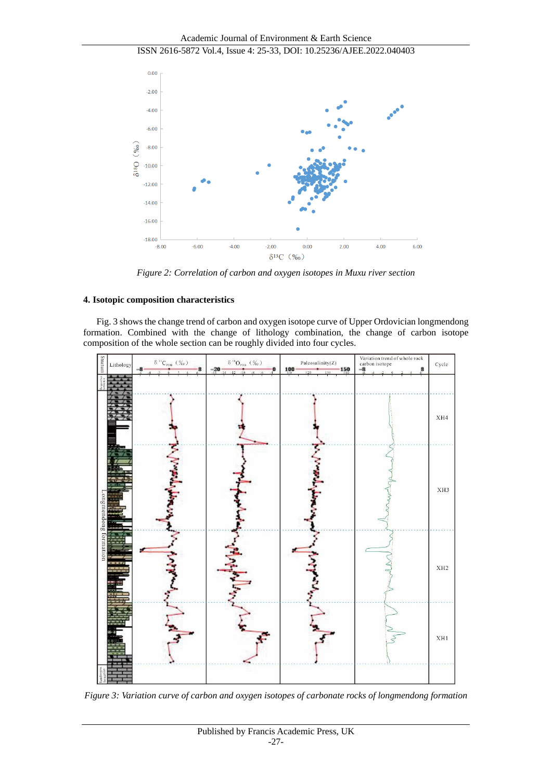Academic Journal of Environment & Earth Science

# ISSN 2616-5872 Vol.4, Issue 4: 25-33, DOI: 10.25236/AJEE.2022.040403



*Figure 2: Correlation of carbon and oxygen isotopes in Muxu river section*

# **4. Isotopic composition characteristics**

Fig. 3 shows the change trend of carbon and oxygen isotope curve of Upper Ordovician longmendong formation. Combined with the change of lithology combination, the change of carbon isotope composition of the whole section can be roughly divided into four cycles.



*Figure 3: Variation curve of carbon and oxygen isotopes of carbonate rocks of longmendong formation*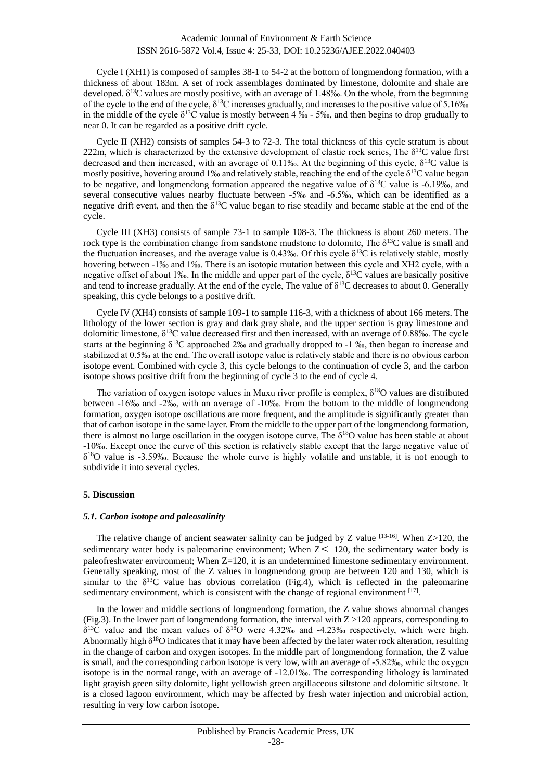Cycle I (XH1) is composed of samples 38-1 to 54-2 at the bottom of longmendong formation, with a thickness of about 183m. A set of rock assemblages dominated by limestone, dolomite and shale are developed.  $\delta^{13}C$  values are mostly positive, with an average of 1.48‰. On the whole, from the beginning of the cycle to the end of the cycle,  $\delta^{13}C$  increases gradually, and increases to the positive value of 5.16‰ in the middle of the cycle  $\delta^{13}C$  value is mostly between 4 ‰ - 5‰, and then begins to drop gradually to near 0. It can be regarded as a positive drift cycle.

Cycle II (XH2) consists of samples 54-3 to 72-3. The total thickness of this cycle stratum is about 222m, which is characterized by the extensive development of clastic rock series, The  $\delta^{13}C$  value first decreased and then increased, with an average of 0.11‰. At the beginning of this cycle, δ<sup>13</sup>C value is mostly positive, hovering around 1‰ and relatively stable, reaching the end of the cycle  $\delta^{13}C$  value began to be negative, and longmendong formation appeared the negative value of  $\delta^{13}$ C value is -6.19‰, and several consecutive values nearby fluctuate between -5‰ and -6.5‰, which can be identified as a negative drift event, and then the  $\delta^{13}C$  value began to rise steadily and became stable at the end of the cycle.

Cycle III (XH3) consists of sample 73-1 to sample 108-3. The thickness is about 260 meters. The rock type is the combination change from sandstone mudstone to dolomite, The  $\delta^{13}C$  value is small and the fluctuation increases, and the average value is 0.43‰. Of this cycle  $\delta^{13}C$  is relatively stable, mostly hovering between -1‰ and 1‰. There is an isotopic mutation between this cycle and XH2 cycle, with a negative offset of about 1‰. In the middle and upper part of the cycle,  $\delta^{13}$ C values are basically positive and tend to increase gradually. At the end of the cycle, The value of  $\delta^{13}C$  decreases to about 0. Generally speaking, this cycle belongs to a positive drift.

Cycle IV (XH4) consists of sample 109-1 to sample 116-3, with a thickness of about 166 meters. The lithology of the lower section is gray and dark gray shale, and the upper section is gray limestone and dolomitic limestone,  $\delta^{13}$ C value decreased first and then increased, with an average of 0.88‰. The cycle starts at the beginning  $\delta^{13}$ C approached 2‰ and gradually dropped to -1 ‰, then began to increase and stabilized at 0.5‰ at the end. The overall isotope value is relatively stable and there is no obvious carbon isotope event. Combined with cycle 3, this cycle belongs to the continuation of cycle 3, and the carbon isotope shows positive drift from the beginning of cycle 3 to the end of cycle 4.

The variation of oxygen isotope values in Muxu river profile is complex,  $\delta^{18}$ O values are distributed between -16‰ and -2‰, with an average of -10‰. From the bottom to the middle of longmendong formation, oxygen isotope oscillations are more frequent, and the amplitude is significantly greater than that of carbon isotope in the same layer. From the middle to the upper part of the longmendong formation, there is almost no large oscillation in the oxygen isotope curve, The  $\delta^{18}O$  value has been stable at about -10‰. Except once the curve of this section is relatively stable except that the large negative value of  $\delta^{18}$ O value is -3.59‰. Because the whole curve is highly volatile and unstable, it is not enough to subdivide it into several cycles.

# **5. Discussion**

#### *5.1. Carbon isotope and paleosalinity*

The relative change of ancient seawater salinity can be judged by Z value  $[13-16]$ . When Z>120, the sedimentary water body is paleomarine environment; When  $Z \leq 120$ , the sedimentary water body is paleofreshwater environment; When Z=120, it is an undetermined limestone sedimentary environment. Generally speaking, most of the Z values in longmendong group are between 120 and 130, which is similar to the  $\delta^{13}$ C value has obvious correlation (Fig.4), which is reflected in the paleomarine sedimentary environment, which is consistent with the change of regional environment  $[17]$ .

In the lower and middle sections of longmendong formation, the Z value shows abnormal changes (Fig.3). In the lower part of longmendong formation, the interval with  $Z > 120$  appears, corresponding to  $\delta^{13}$ C value and the mean values of  $\delta^{18}$ O were 4.32‰ and -4.23‰ respectively, which were high. Abnormally high  $\delta^{18}O$  indicates that it may have been affected by the later water rock alteration, resulting in the change of carbon and oxygen isotopes. In the middle part of longmendong formation, the Z value is small, and the corresponding carbon isotope is very low, with an average of -5.82‰, while the oxygen isotope is in the normal range, with an average of -12.01‰. The corresponding lithology is laminated light grayish green silty dolomite, light yellowish green argillaceous siltstone and dolomitic siltstone. It is a closed lagoon environment, which may be affected by fresh water injection and microbial action, resulting in very low carbon isotope.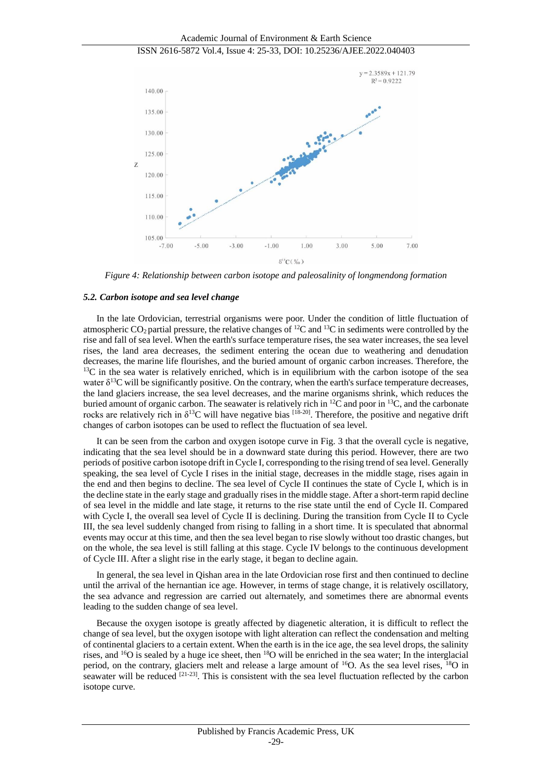

*Figure 4: Relationship between carbon isotope and paleosalinity of longmendong formation*

#### *5.2. Carbon isotope and sea level change*

In the late Ordovician, terrestrial organisms were poor. Under the condition of little fluctuation of atmospheric  $CO_2$  partial pressure, the relative changes of <sup>12</sup>C and <sup>13</sup>C in sediments were controlled by the rise and fall of sea level. When the earth's surface temperature rises, the sea water increases, the sea level rises, the land area decreases, the sediment entering the ocean due to weathering and denudation decreases, the marine life flourishes, and the buried amount of organic carbon increases. Therefore, the  $13<sup>C</sup>$  in the sea water is relatively enriched, which is in equilibrium with the carbon isotope of the sea water  $\delta^{13}$ C will be significantly positive. On the contrary, when the earth's surface temperature decreases, the land glaciers increase, the sea level decreases, and the marine organisms shrink, which reduces the buried amount of organic carbon. The seawater is relatively rich in <sup>12</sup>C and poor in <sup>13</sup>C, and the carbonate rocks are relatively rich in  $\delta^{13}C$  will have negative bias  $[18-20]$ . Therefore, the positive and negative drift changes of carbon isotopes can be used to reflect the fluctuation of sea level.

It can be seen from the carbon and oxygen isotope curve in Fig. 3 that the overall cycle is negative, indicating that the sea level should be in a downward state during this period. However, there are two periods of positive carbon isotope drift in Cycle I, corresponding to the rising trend of sea level. Generally speaking, the sea level of Cycle I rises in the initial stage, decreases in the middle stage, rises again in the end and then begins to decline. The sea level of Cycle II continues the state of Cycle I, which is in the decline state in the early stage and gradually rises in the middle stage. After a short-term rapid decline of sea level in the middle and late stage, it returns to the rise state until the end of Cycle II. Compared with Cycle I, the overall sea level of Cycle II is declining. During the transition from Cycle II to Cycle III, the sea level suddenly changed from rising to falling in a short time. It is speculated that abnormal events may occur at this time, and then the sea level began to rise slowly without too drastic changes, but on the whole, the sea level is still falling at this stage. Cycle IV belongs to the continuous development of Cycle III. After a slight rise in the early stage, it began to decline again.

In general, the sea level in Qishan area in the late Ordovician rose first and then continued to decline until the arrival of the hernantian ice age. However, in terms of stage change, it is relatively oscillatory, the sea advance and regression are carried out alternately, and sometimes there are abnormal events leading to the sudden change of sea level.

Because the oxygen isotope is greatly affected by diagenetic alteration, it is difficult to reflect the change of sea level, but the oxygen isotope with light alteration can reflect the condensation and melting of continental glaciers to a certain extent. When the earth is in the ice age, the sea level drops, the salinity rises, and <sup>16</sup>O is sealed by a huge ice sheet, then <sup>18</sup>O will be enriched in the sea water; In the interglacial period, on the contrary, glaciers melt and release a large amount of <sup>16</sup>O. As the sea level rises, <sup>18</sup>O in seawater will be reduced  $[21-23]$ . This is consistent with the sea level fluctuation reflected by the carbon isotope curve.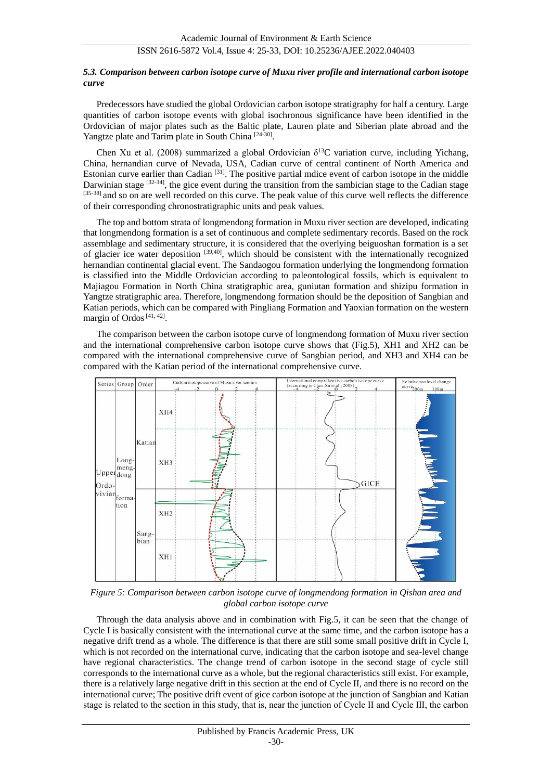#### *5.3. Comparison between carbon isotope curve of Muxu river profile and international carbon isotope curve*

Predecessors have studied the global Ordovician carbon isotope stratigraphy for half a century. Large quantities of carbon isotope events with global isochronous significance have been identified in the Ordovician of major plates such as the Baltic plate, Lauren plate and Siberian plate abroad and the Yangtze plate and Tarim plate in South China [24-30].

Chen Xu et al. (2008) summarized a global Ordovician  $\delta^{13}C$  variation curve, including Yichang, China, hernandian curve of Nevada, USA, Cadian curve of central continent of North America and Estonian curve earlier than Cadian [31]. The positive partial mdice event of carbon isotope in the middle Darwinian stage  $[32-34]$ , the gice event during the transition from the sambician stage to the Cadian stage [35-38] and so on are well recorded on this curve. The peak value of this curve well reflects the difference of their corresponding chronostratigraphic units and peak values.

The top and bottom strata of longmendong formation in Muxu river section are developed, indicating that longmendong formation is a set of continuous and complete sedimentary records. Based on the rock assemblage and sedimentary structure, it is considered that the overlying beiguoshan formation is a set of glacier ice water deposition [39,40], which should be consistent with the internationally recognized hernandian continental glacial event. The Sandaogou formation underlying the longmendong formation is classified into the Middle Ordovician according to paleontological fossils, which is equivalent to Majiagou Formation in North China stratigraphic area, guniutan formation and shizipu formation in Yangtze stratigraphic area. Therefore, longmendong formation should be the deposition of Sangbian and Katian periods, which can be compared with Pingliang Formation and Yaoxian formation on the western margin of Ordos<sup>[41, 42]</sup>.

The comparison between the carbon isotope curve of longmendong formation of Muxu river section and the international comprehensive carbon isotope curve shows that (Fig.5), XH1 and XH2 can be compared with the international comprehensive curve of Sangbian period, and XH3 and XH4 can be compared with the Katian period of the international comprehensive curve.



*Figure 5: Comparison between carbon isotope curve of longmendong formation in Qishan area and global carbon isotope curve*

Through the data analysis above and in combination with Fig.5, it can be seen that the change of Cycle I is basically consistent with the international curve at the same time, and the carbon isotope has a negative drift trend as a whole. The difference is that there are still some small positive drift in Cycle I, which is not recorded on the international curve, indicating that the carbon isotope and sea-level change have regional characteristics. The change trend of carbon isotope in the second stage of cycle still corresponds to the international curve as a whole, but the regional characteristics still exist. For example, there is a relatively large negative drift in this section at the end of Cycle II, and there is no record on the international curve; The positive drift event of gice carbon isotope at the junction of Sangbian and Katian stage is related to the section in this study, that is, near the junction of Cycle II and Cycle Ⅲ, the carbon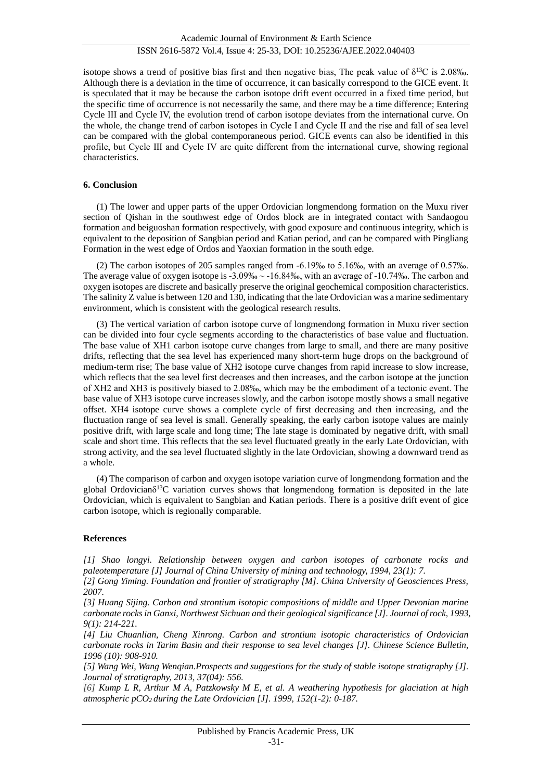isotope shows a trend of positive bias first and then negative bias, The peak value of  $\delta^{13}C$  is 2.08‰. Although there is a deviation in the time of occurrence, it can basically correspond to the GICE event. It is speculated that it may be because the carbon isotope drift event occurred in a fixed time period, but the specific time of occurrence is not necessarily the same, and there may be a time difference; Entering Cycle III and Cycle IV, the evolution trend of carbon isotope deviates from the international curve. On the whole, the change trend of carbon isotopes in Cycle Ⅰ and Cycle II and the rise and fall of sea level can be compared with the global contemporaneous period. GICE events can also be identified in this profile, but Cycle Ⅲ and Cycle Ⅳ are quite different from the international curve, showing regional characteristics.

#### **6. Conclusion**

(1) The lower and upper parts of the upper Ordovician longmendong formation on the Muxu river section of Qishan in the southwest edge of Ordos block are in integrated contact with Sandaogou formation and beiguoshan formation respectively, with good exposure and continuous integrity, which is equivalent to the deposition of Sangbian period and Katian period, and can be compared with Pingliang Formation in the west edge of Ordos and Yaoxian formation in the south edge.

(2) The carbon isotopes of 205 samples ranged from -6.19‰ to 5.16‰, with an average of 0.57‰. The average value of oxygen isotope is -3.09‰ ~ -16.84‰, with an average of -10.74‰. The carbon and oxygen isotopes are discrete and basically preserve the original geochemical composition characteristics. The salinity Z value is between 120 and 130, indicating that the late Ordovician was a marine sedimentary environment, which is consistent with the geological research results.

(3) The vertical variation of carbon isotope curve of longmendong formation in Muxu river section can be divided into four cycle segments according to the characteristics of base value and fluctuation. The base value of XH1 carbon isotope curve changes from large to small, and there are many positive drifts, reflecting that the sea level has experienced many short-term huge drops on the background of medium-term rise; The base value of XH2 isotope curve changes from rapid increase to slow increase, which reflects that the sea level first decreases and then increases, and the carbon isotope at the junction of XH2 and XH3 is positively biased to 2.08‰, which may be the embodiment of a tectonic event. The base value of XH3 isotope curve increases slowly, and the carbon isotope mostly shows a small negative offset. XH4 isotope curve shows a complete cycle of first decreasing and then increasing, and the fluctuation range of sea level is small. Generally speaking, the early carbon isotope values are mainly positive drift, with large scale and long time; The late stage is dominated by negative drift, with small scale and short time. This reflects that the sea level fluctuated greatly in the early Late Ordovician, with strong activity, and the sea level fluctuated slightly in the late Ordovician, showing a downward trend as a whole.

(4) The comparison of carbon and oxygen isotope variation curve of longmendong formation and the global Ordovicianδ <sup>13</sup>C variation curves shows that longmendong formation is deposited in the late Ordovician, which is equivalent to Sangbian and Katian periods. There is a positive drift event of gice carbon isotope, which is regionally comparable.

#### **References**

*[1] Shao longyi. Relationship between oxygen and carbon isotopes of carbonate rocks and paleotemperature [J] Journal of China University of mining and technology, 1994, 23(1): 7.*

*[2] Gong Yiming. Foundation and frontier of stratigraphy [M]. China University of Geosciences Press, 2007.*

*[3] Huang Sijing. Carbon and strontium isotopic compositions of middle and Upper Devonian marine carbonate rocks in Ganxi, Northwest Sichuan and their geological significance [J]. Journal of rock, 1993, 9(1): 214-221.*

*[4] Liu Chuanlian, Cheng Xinrong. Carbon and strontium isotopic characteristics of Ordovician carbonate rocks in Tarim Basin and their response to sea level changes [J]. Chinese Science Bulletin, 1996 (10): 908-910.*

*[5] Wang Wei, Wang Wenqian.Prospects and suggestions for the study of stable isotope stratigraphy [J]. Journal of stratigraphy, 2013, 37(04): 556.*

*[6] Kump L R, Arthur M A, Patzkowsky M E, et al. A weathering hypothesis for glaciation at high atmospheric pCO2 during the Late Ordovician [J]. 1999, 152(1-2): 0-187.*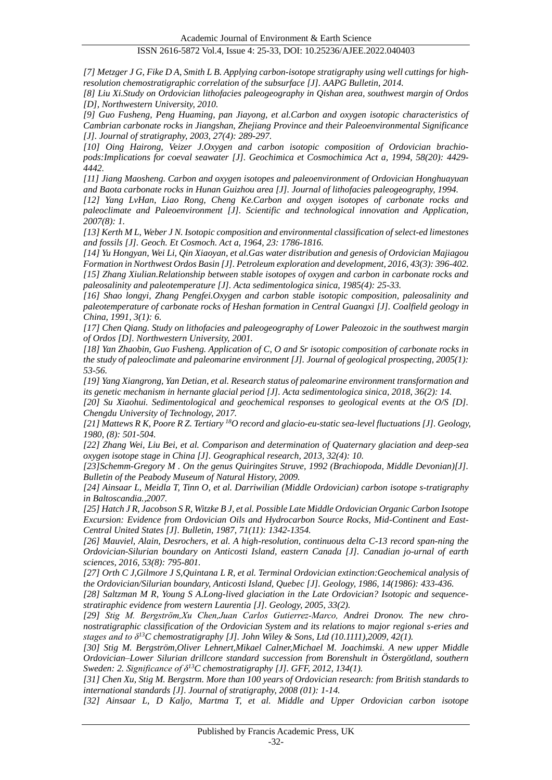*[7] Metzger J G, Fike D A, Smith L B. Applying carbon-isotope stratigraphy using well cuttings for highresolution chemostratigraphic correlation of the subsurface [J]. AAPG Bulletin, 2014.*

*[8] Liu Xi.Study on Ordovician lithofacies paleogeography in Qishan area, southwest margin of Ordos [D], Northwestern University, 2010.*

*[9] Guo Fusheng, Peng Huaming, pan Jiayong, et al.Carbon and oxygen isotopic characteristics of Cambrian carbonate rocks in Jiangshan, Zhejiang Province and their Paleoenvironmental Significance [J]. Journal of stratigraphy, 2003, 27(4): 289-297.*

*[10] Oing Hairong, Veizer J.Oxygen and carbon isotopic composition of Ordovician brachiopods:Implications for coeval seawater [J]. Geochimica et Cosmochimica Act a, 1994, 58(20): 4429- 4442.*

*[11] Jiang Maosheng. Carbon and oxygen isotopes and paleoenvironment of Ordovician Honghuayuan and Baota carbonate rocks in Hunan Guizhou area [J]. Journal of lithofacies paleogeography, 1994.*

*[12] Yang LvHan, Liao Rong, Cheng Ke.Carbon and oxygen isotopes of carbonate rocks and paleoclimate and Paleoenvironment [J]. Scientific and technological innovation and Application, 2007(8): 1.*

*[13] Kerth M L, Weber J N. Isotopic composition and environmental classification of select-ed limestones and fossils [J]. Geoch. Et Cosmoch. Act a, 1964, 23: 1786-1816.*

*[14] Yu Hongyan, Wei Li, Qin Xiaoyan, et al.Gas water distribution and genesis of Ordovician Majiagou Formation in Northwest Ordos Basin [J]. Petroleum exploration and development, 2016, 43(3): 396-402. [15] Zhang Xiulian.Relationship between stable isotopes of oxygen and carbon in carbonate rocks and paleosalinity and paleotemperature [J]. Acta sedimentologica sinica, 1985(4): 25-33.*

*[16] Shao longyi, Zhang Pengfei.Oxygen and carbon stable isotopic composition, paleosalinity and paleotemperature of carbonate rocks of Heshan formation in Central Guangxi [J]. Coalfield geology in China, 1991, 3(1): 6.*

*[17] Chen Qiang. Study on lithofacies and paleogeography of Lower Paleozoic in the southwest margin of Ordos [D]. Northwestern University, 2001.*

*[18] Yan Zhaobin, Guo Fusheng. Application of C, O and Sr isotopic composition of carbonate rocks in the study of paleoclimate and paleomarine environment [J]. Journal of geological prospecting, 2005(1): 53-56.*

*[19] Yang Xiangrong, Yan Detian, et al. Research status of paleomarine environment transformation and its genetic mechanism in hernante glacial period [J]. Acta sedimentologica sinica, 2018, 36(2): 14.*

*[20] Su Xiaohui. Sedimentological and geochemical responses to geological events at the O/S [D]. Chengdu University of Technology, 2017.*

*[21] Mattews R K, Poore R Z. Tertiary <sup>18</sup>O record and glacio-eu-static sea-level fluctuations [J]. Geology, 1980, (8): 501-504.*

*[22] Zhang Wei, Liu Bei, et al. Comparison and determination of Quaternary glaciation and deep-sea oxygen isotope stage in China [J]. Geographical research, 2013, 32(4): 10.*

*[23]Schemm-Gregory M . On the genus Quiringites Struve, 1992 (Brachiopoda, Middle Devonian)[J]. Bulletin of the Peabody Museum of Natural History, 2009.*

*[24] Ainsaar L, Meidla T, Tinn O, et al. Darriwilian (Middle Ordovician) carbon isotope s-tratigraphy in Baltoscandia.,2007.*

*[25] Hatch J R, Jacobson S R, Witzke B J, et al. Possible Late Middle Ordovician Organic Carbon Isotope Excursion: Evidence from Ordovician Oils and Hydrocarbon Source Rocks, Mid-Continent and East-Central United States [J]. Bulletin, 1987, 71(11): 1342-1354.*

*[26] Mauviel, Alain, Desrochers, et al. A high-resolution, continuous delta C-13 record span-ning the Ordovician-Silurian boundary on Anticosti Island, eastern Canada [J]. Canadian jo-urnal of earth sciences, 2016, 53(8): 795-801.*

*[27] Orth C J,Gilmore J S,Quintana L R, et al. Terminal Ordovician extinction:Geochemical analysis of the Ordovician/Silurian boundary, Anticosti Island, Quebec [J]. Geology, 1986, 14(1986): 433-436.*

*[28] Saltzman M R, Young S A.Long-lived glaciation in the Late Ordovician? Isotopic and sequencestratiraphic evidence from western Laurentia [J]. Geology, 2005, 33(2).*

*[29] Stig M. Bergström,Xu Chen,Juan Carlos Gutierrez‐Marco, Andrei Dronov. The new chronostratigraphic classification of the Ordovician System and its relations to major regional s-eries and stages and to δ<sup>13</sup>C chemostratigraphy [J]. John Wiley & Sons, Ltd (10.1111),2009, 42(1).*

*[30] Stig M. Bergström,Oliver Lehnert,Mikael Calner,Michael M. Joachimski. A new upper Middle Ordovician–Lower Silurian drillcore standard succession from Borenshult in Östergötland, southern Sweden: 2. Significance of δ<sup>13</sup>C chemostratigraphy [J]. GFF, 2012, 134(1).*

*[31] Chen Xu, Stig M. Bergstrm. More than 100 years of Ordovician research: from British standards to international standards [J]. Journal of stratigraphy, 2008 (01): 1-14.*

*[32] Ainsaar L, D Kaljo, Martma T, et al. Middle and Upper Ordovician carbon isotope*